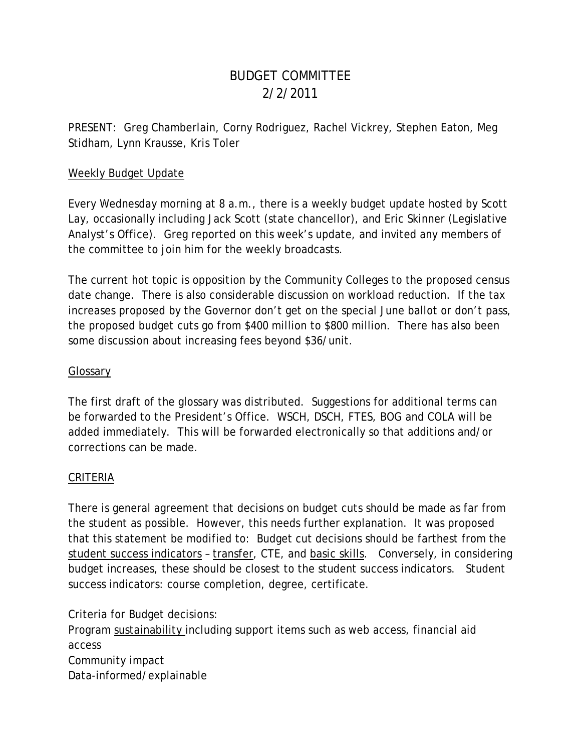# BUDGET COMMITTEE 2/2/2011

PRESENT: Greg Chamberlain, Corny Rodriguez, Rachel Vickrey, Stephen Eaton, Meg Stidham, Lynn Krausse, Kris Toler

#### Weekly Budget Update

Every Wednesday morning at 8 a.m., there is a weekly budget update hosted by Scott Lay, occasionally including Jack Scott (state chancellor), and Eric Skinner (Legislative Analyst's Office). Greg reported on this week's update, and invited any members of the committee to join him for the weekly broadcasts.

The current hot topic is opposition by the Community Colleges to the proposed census date change. There is also considerable discussion on workload reduction. If the tax increases proposed by the Governor don't get on the special June ballot or don't pass, the proposed budget cuts go from \$400 million to \$800 million. There has also been some discussion about increasing fees beyond \$36/unit.

### Glossary

The first draft of the glossary was distributed. Suggestions for additional terms can be forwarded to the President's Office. WSCH, DSCH, FTES, BOG and COLA will be added immediately. This will be forwarded electronically so that additions and/or corrections can be made.

### CRITERIA

There is general agreement that decisions on budget cuts should be made as far from the student as possible. However, this needs further explanation. It was proposed that this statement be modified to: Budget cut decisions should be farthest from the student success indicators – transfer, CTE, and basic skills. Conversely, in considering budget increases, these should be closest to the student success indicators. Student success indicators: course completion, degree, certificate.

Criteria for Budget decisions:

Program sustainability including support items such as web access, financial aid access Community impact Data-informed/explainable